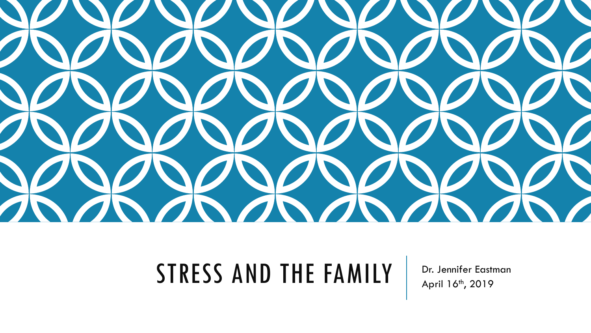

#### $STRESS$  AND THE FAMILY  $\parallel$  Dr. Jennifer Eastman

April 16<sup>th</sup>, 2019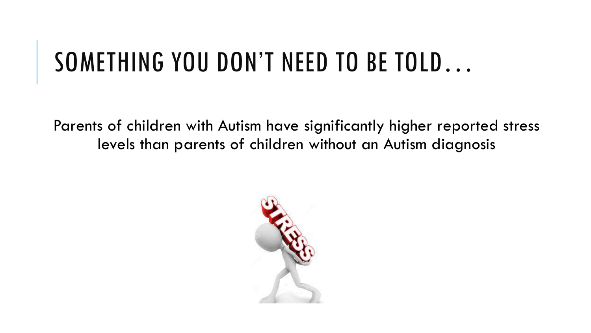## SOMETHING YOU DON'T NEED TO BE TOLD…

Parents of children with Autism have significantly higher reported stress levels than parents of children without an Autism diagnosis

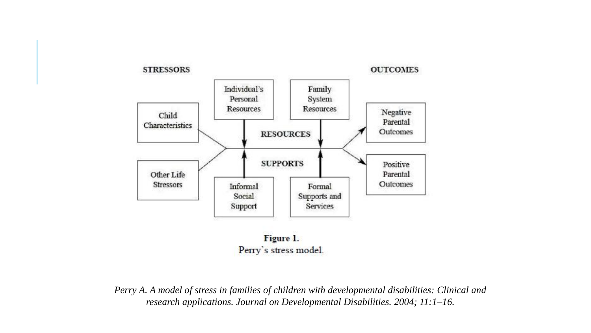

Figure 1. Perry's stress model.

*Perry A. A model of stress in families of children with developmental disabilities: Clinical and research applications. Journal on Developmental Disabilities. 2004; 11:1–16.*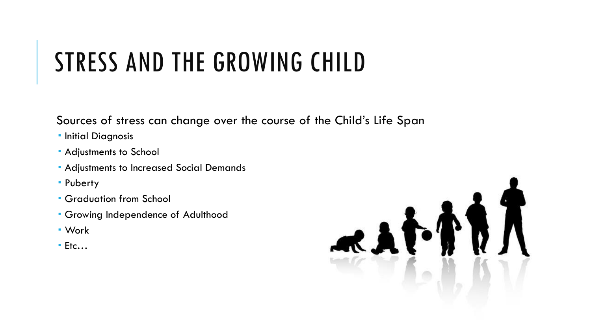#### STRESS AND THE GROWING CHILD

Sources of stress can change over the course of the Child's Life Span

- **· Initial Diagnosis**
- Adjustments to School
- Adjustments to Increased Social Demands
- Puberty
- Graduation from School
- Growing Independence of Adulthood
- Work
- $E$ Ftc...

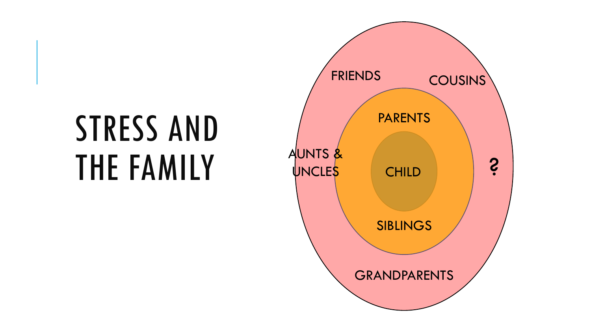# STRESS AND THE FAMILY TUNCLES CHILD

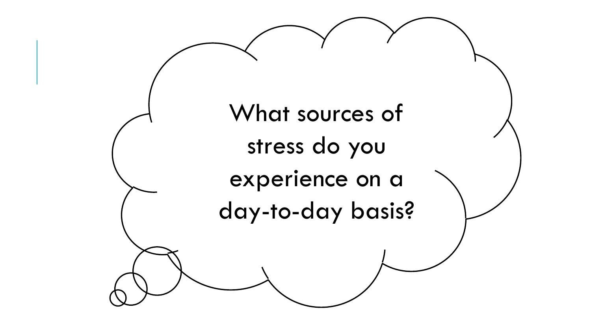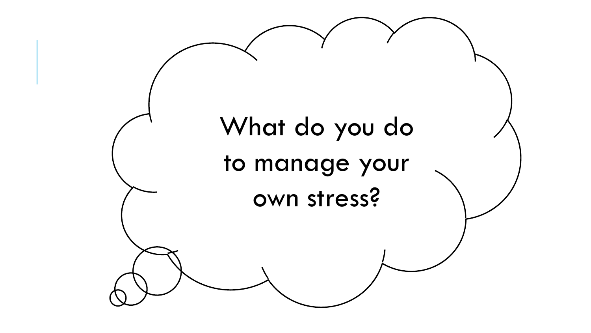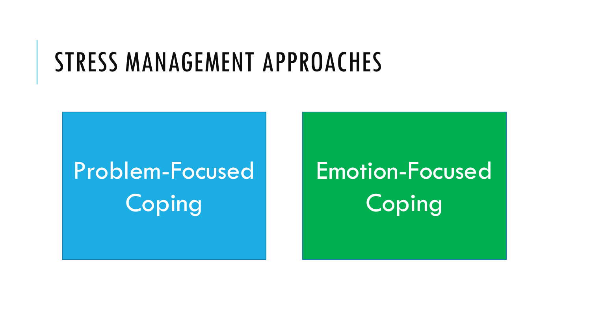#### STRESS MANAGEMENT APPROACHES

## Problem-Focused **Coping**

Emotion-Focused Coping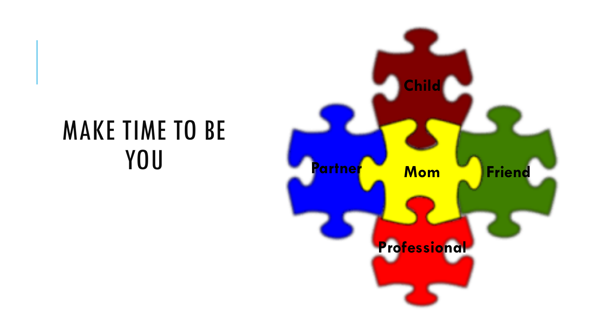# MAKE TIME TO BE

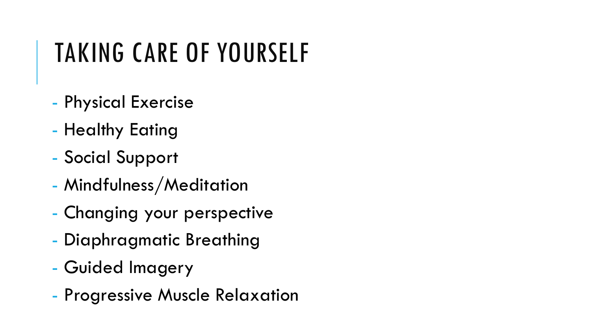#### TAKING CARE OF YOURSELF

- Physical Exercise
- Healthy Eating
- Social Support
- Mindfulness/Meditation
- Changing your perspective
- Diaphragmatic Breathing
- Guided Imagery
- Progressive Muscle Relaxation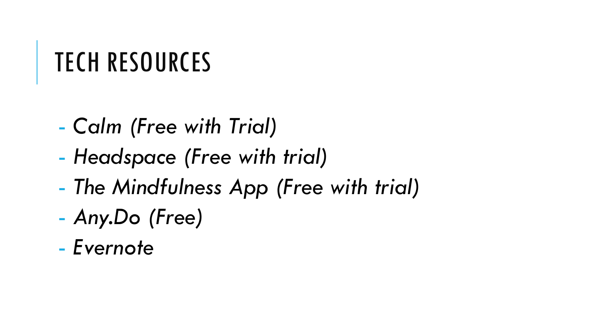## TECH RESOURCES

- *Calm (Free with Trial)*
- *Headspace (Free with trial)*
- *The Mindfulness App (Free with trial)*
- *Any.Do (Free)*
- *Evernote*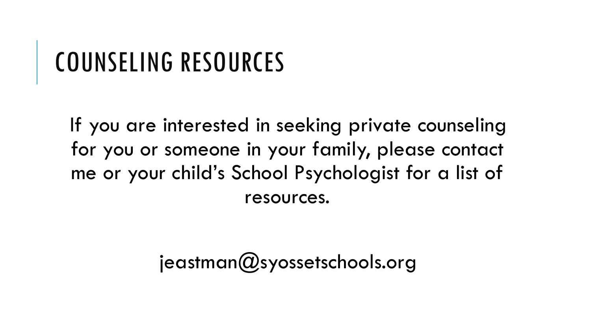#### COUNSELING RESOURCES

If you are interested in seeking private counseling for you or someone in your family, please contact me or your child's School Psychologist for a list of resources.

 $je$ astman $(Q)$ syossetschools.org